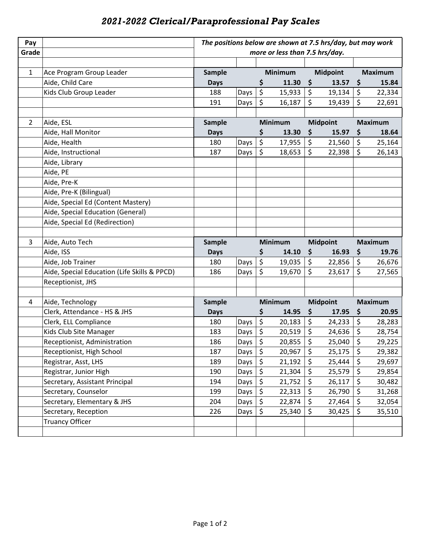## *2021-2022 Clerical/Paraprofessional Pay Scales*

| Pay            |                                              | The positions below are shown at 7.5 hrs/day, but may work |      |                                   |                |                 |                 |                |                |
|----------------|----------------------------------------------|------------------------------------------------------------|------|-----------------------------------|----------------|-----------------|-----------------|----------------|----------------|
| Grade          |                                              | more or less than 7.5 hrs/day.                             |      |                                   |                |                 |                 |                |                |
|                |                                              |                                                            |      |                                   |                |                 |                 |                |                |
| $\mathbf{1}$   | Ace Program Group Leader                     | <b>Sample</b>                                              |      | <b>Minimum</b>                    |                | <b>Midpoint</b> |                 | <b>Maximum</b> |                |
|                | Aide, Child Care                             | <b>Days</b>                                                |      | \$                                | 11.30          | \$              | 13.57           | \$             | 15.84          |
|                | Kids Club Group Leader                       | 188                                                        | Days | \$                                | 15,933         | \$              | 19,134          | \$             | 22,334         |
|                |                                              | 191                                                        | Days | \$                                | 16,187         | \$              | 19,439          | \$             | 22,691         |
|                |                                              |                                                            |      |                                   |                |                 |                 |                |                |
| $\overline{2}$ | Aide, ESL                                    | <b>Sample</b>                                              |      | <b>Minimum</b><br><b>Midpoint</b> |                |                 | <b>Maximum</b>  |                |                |
|                | Aide, Hall Monitor                           | <b>Days</b>                                                |      | \$                                | 13.30          | \$              | 15.97           | \$             | 18.64          |
|                | Aide, Health                                 | 180                                                        | Days | \$                                | 17,955         | \$              | 21,560          | \$             | 25,164         |
|                | Aide, Instructional                          | 187                                                        | Days | \$                                | 18,653         | \$              | 22,398          | \$             | 26,143         |
|                | Aide, Library                                |                                                            |      |                                   |                |                 |                 |                |                |
|                | Aide, PE                                     |                                                            |      |                                   |                |                 |                 |                |                |
|                | Aide, Pre-K                                  |                                                            |      |                                   |                |                 |                 |                |                |
|                | Aide, Pre-K (Bilingual)                      |                                                            |      |                                   |                |                 |                 |                |                |
|                | Aide, Special Ed (Content Mastery)           |                                                            |      |                                   |                |                 |                 |                |                |
|                | Aide, Special Education (General)            |                                                            |      |                                   |                |                 |                 |                |                |
|                | Aide, Special Ed (Redirection)               |                                                            |      |                                   |                |                 |                 |                |                |
|                |                                              |                                                            |      |                                   |                |                 |                 |                |                |
| 3              | Aide, Auto Tech                              | <b>Sample</b>                                              |      |                                   | <b>Minimum</b> |                 | <b>Midpoint</b> |                | <b>Maximum</b> |
|                |                                              |                                                            |      |                                   |                |                 |                 |                |                |
|                | Aide, ISS                                    | <b>Days</b>                                                |      | \$                                | 14.10          | \$              | 16.93           | \$             | 19.76          |
|                | Aide, Job Trainer                            | 180                                                        | Days | $\overline{\xi}$                  | 19,035         | \$              | 22,856          | \$             | 26,676         |
|                | Aide, Special Education (Life Skills & PPCD) | 186                                                        | Days | \$                                | 19,670         | \$              | 23,617          | \$             | 27,565         |
|                | Receptionist, JHS                            |                                                            |      |                                   |                |                 |                 |                |                |
|                |                                              |                                                            |      |                                   |                |                 |                 |                |                |
| 4              | Aide, Technology                             | Sample                                                     |      |                                   | <b>Minimum</b> |                 | <b>Midpoint</b> |                | <b>Maximum</b> |
|                | Clerk, Attendance - HS & JHS                 | <b>Days</b>                                                |      | \$                                | 14.95          | \$              | 17.95           | \$             | 20.95          |
|                | Clerk, ELL Compliance                        | 180                                                        | Days | $\overline{\xi}$                  | 20,183         | \$              | 24,233          | \$             | 28,283         |
|                | Kids Club Site Manager                       | 183                                                        | Days | \$                                | 20,519         | \$              | 24,636          | \$             | 28,754         |
|                | Receptionist, Administration                 | 186                                                        | Days | \$                                | 20,855         | \$              | 25,040          | \$             | 29,225         |
|                | Receptionist, High School                    | 187                                                        | Days | \$                                | 20,967         | \$              | 25,175          | \$             | 29,382         |
|                | Registrar, Asst, LHS                         | 189                                                        | Days | \$                                | 21,192         | \$              | 25,444          | \$             | 29,697         |
|                | Registrar, Junior High                       | 190                                                        | Days | \$                                | 21,304         | \$              | 25,579          | \$             | 29,854         |
|                | Secretary, Assistant Principal               | 194                                                        | Days | \$                                | 21,752         | \$              | 26,117          | \$             | 30,482         |
|                | Secretary, Counselor                         | 199                                                        | Days | \$                                | 22,313         | \$              | 26,790          | \$             | 31,268         |
|                | Secretary, Elementary & JHS                  | 204                                                        | Days | \$                                | 22,874         | \$              | 27,464          | \$             | 32,054         |
|                | Secretary, Reception                         | 226                                                        | Days | \$                                | 25,340         | \$              | 30,425          | \$             | 35,510         |
|                | <b>Truancy Officer</b>                       |                                                            |      |                                   |                |                 |                 |                |                |